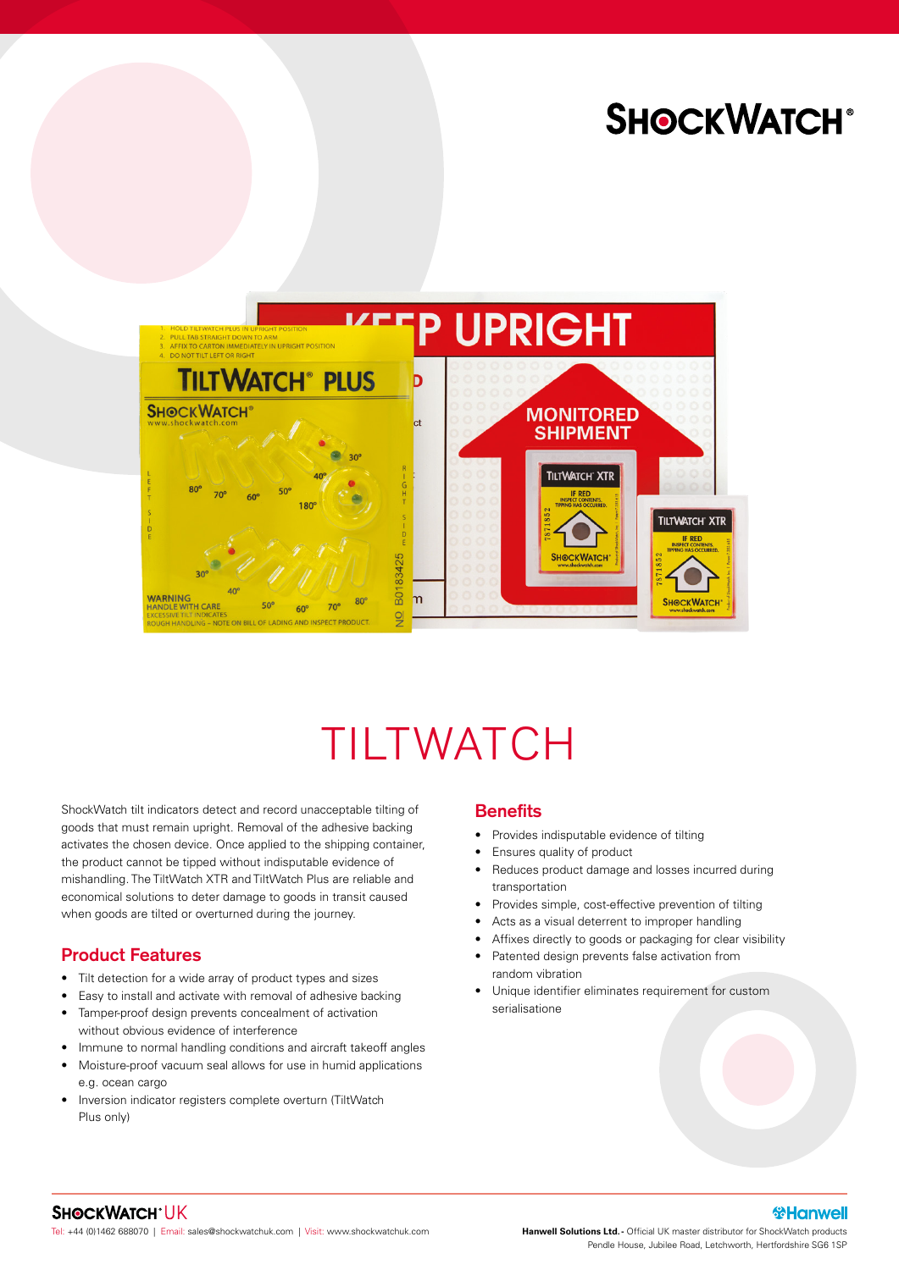# **SHOCKWATCH®**



# TILTWATCH

ShockWatch tilt indicators detect and record unacceptable tilting of goods that must remain upright. Removal of the adhesive backing activates the chosen device. Once applied to the shipping container, the product cannot be tipped without indisputable evidence of mishandling. The TiltWatch XTR and TiltWatch Plus are reliable and economical solutions to deter damage to goods in transit caused when goods are tilted or overturned during the journey.

### **Product Features**

- Tilt detection for a wide array of product types and sizes
- Easy to install and activate with removal of adhesive backing
- Tamper-proof design prevents concealment of activation without obvious evidence of interference
- Immune to normal handling conditions and aircraft takeoff angles
- Moisture-proof vacuum seal allows for use in humid applications e.g. ocean cargo
- Inversion indicator registers complete overturn (TiltWatch Plus only)

### **Benefits**

- Provides indisputable evidence of tilting
- Ensures quality of product
- Reduces product damage and losses incurred during transportation
- Provides simple, cost-effective prevention of tilting
- Acts as a visual deterrent to improper handling
- Affixes directly to goods or packaging for clear visibility
- Patented design prevents false activation from random vibration
- Unique identifier eliminates requirement for custom serialisatione

### **SHOCKWATCH<sup>®</sup>UK**

Tel: +44 (0)1462 688070 | Email: sales@shockwatchuk.com | Visit: www.shockwatchuk.com

**Hanwell Solutions Ltd. -** Official UK master distributor for ShockWatch products Pendle House, Jubilee Road, Letchworth, Hertfordshire SG6 1SP

### *<b>* Hanwell